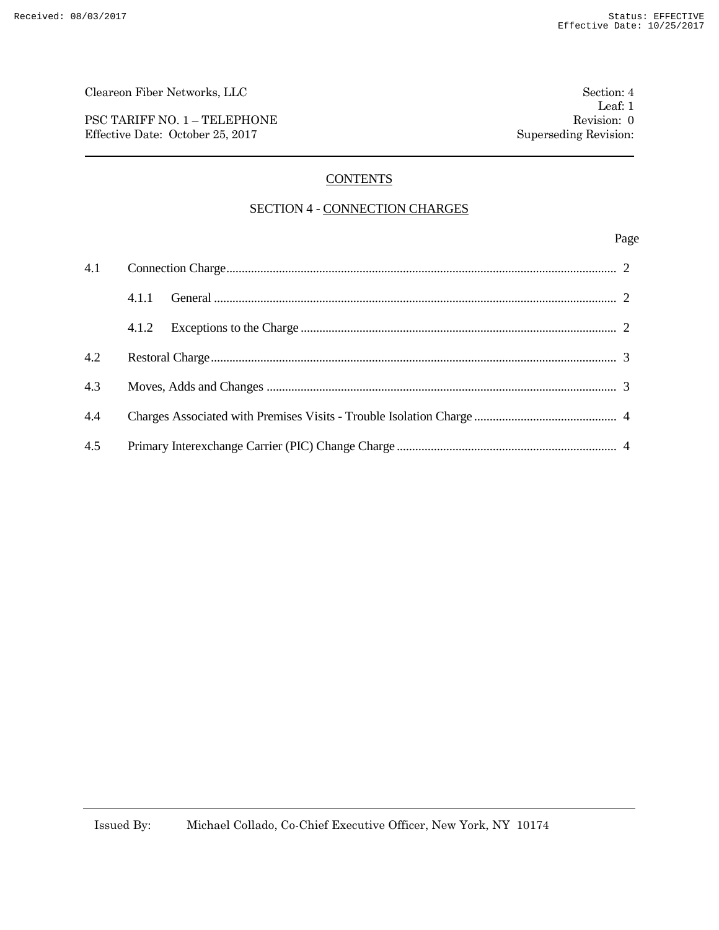PSC TARIFF NO. 1 – TELEPHONE Revision: 0 Effective Date: October 25, 2017 Superseding Revision:

# **CONTENTS**

## SECTION 4 - CONNECTION CHARGES

### Page

|     | 4.1.1 |  |
|-----|-------|--|
|     | 4.1.2 |  |
| 4.2 |       |  |
| 4.3 |       |  |
| 4.4 |       |  |
| 4.5 |       |  |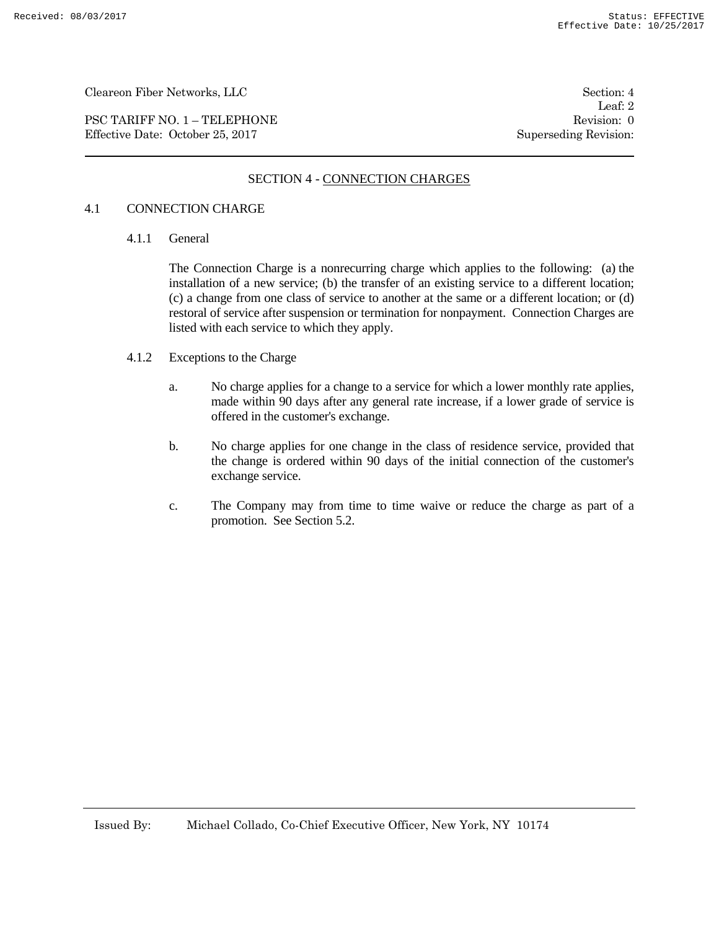PSC TARIFF NO. 1 – TELEPHONE Revision: 0 Effective Date: October 25, 2017 Superseding Revision:

Leaf: 2

## SECTION 4 - CONNECTION CHARGES

#### 4.1 CONNECTION CHARGE

4.1.1 General

The Connection Charge is a nonrecurring charge which applies to the following: (a) the installation of a new service; (b) the transfer of an existing service to a different location; (c) a change from one class of service to another at the same or a different location; or (d) restoral of service after suspension or termination for nonpayment. Connection Charges are listed with each service to which they apply.

- 4.1.2 Exceptions to the Charge
	- a. No charge applies for a change to a service for which a lower monthly rate applies, made within 90 days after any general rate increase, if a lower grade of service is offered in the customer's exchange.
	- b. No charge applies for one change in the class of residence service, provided that the change is ordered within 90 days of the initial connection of the customer's exchange service.
	- c. The Company may from time to time waive or reduce the charge as part of a promotion. See Section 5.2.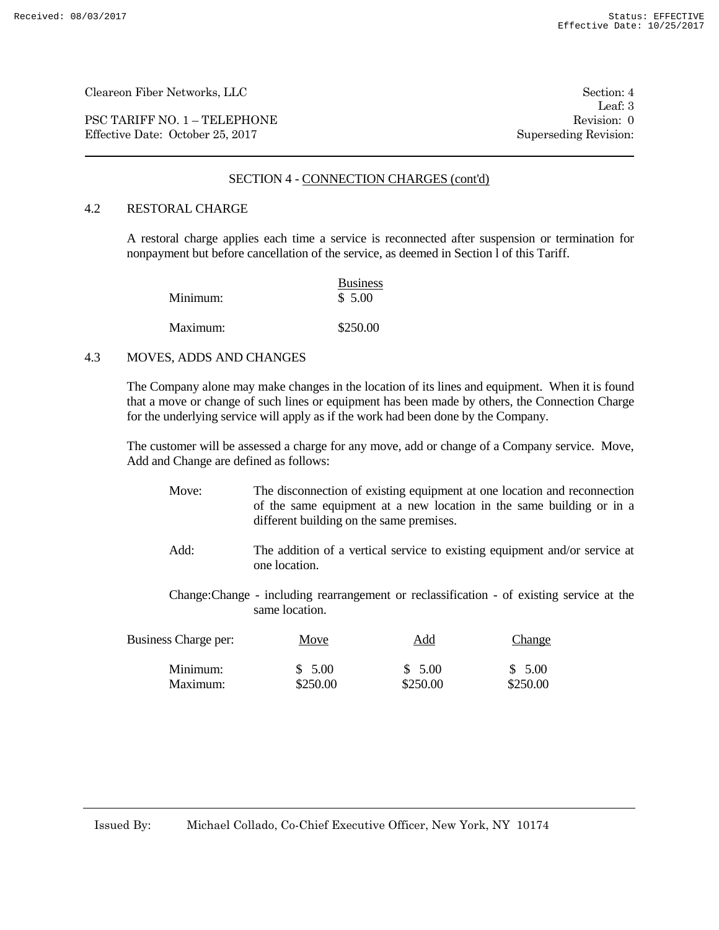PSC TARIFF NO. 1 – TELEPHONE Revision: 0<br>
Effective Date: October 25, 2017 Superseding Revision: 0 Effective Date: October 25, 2017

Leaf: 3

### SECTION 4 - CONNECTION CHARGES (cont'd)

### 4.2 RESTORAL CHARGE

A restoral charge applies each time a service is reconnected after suspension or termination for nonpayment but before cancellation of the service, as deemed in Section l of this Tariff.

| Minimum: | <b>Business</b><br>\$5.00 |
|----------|---------------------------|
| Maximum: | \$250.00                  |

#### 4.3 MOVES, ADDS AND CHANGES

The Company alone may make changes in the location of its lines and equipment. When it is found that a move or change of such lines or equipment has been made by others, the Connection Charge for the underlying service will apply as if the work had been done by the Company.

The customer will be assessed a charge for any move, add or change of a Company service. Move, Add and Change are defined as follows:

- Move: The disconnection of existing equipment at one location and reconnection of the same equipment at a new location in the same building or in a different building on the same premises.
- Add: The addition of a vertical service to existing equipment and/or service at one location.
- Change:Change including rearrangement or reclassification of existing service at the same location.

| Business Charge per: | Move     | <u>Add</u> | Change   |
|----------------------|----------|------------|----------|
| Minimum:             | \$5.00   | \$5.00     | \$5.00   |
| Maximum:             | \$250.00 | \$250.00   | \$250.00 |